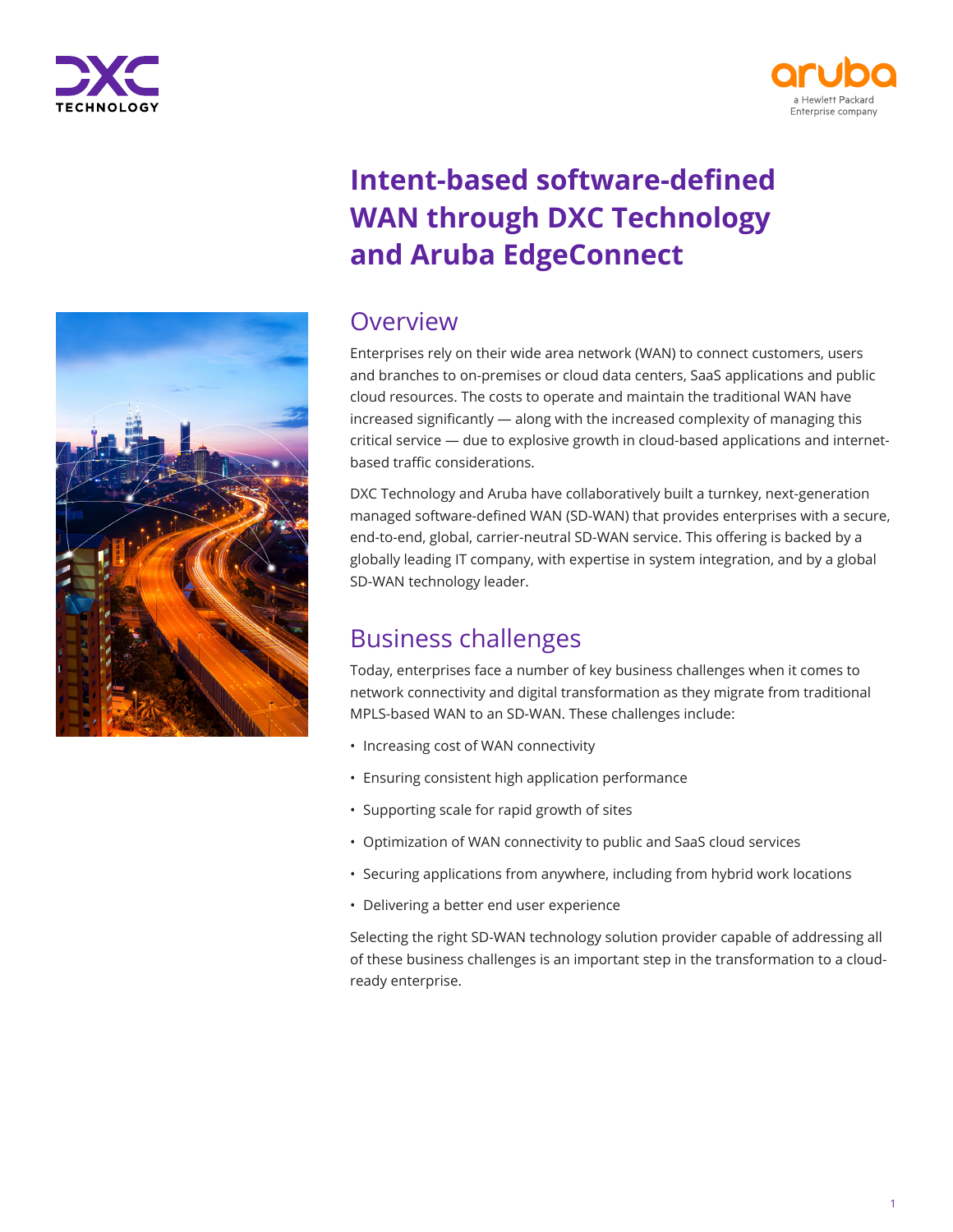





# **Intent-based software-defined WAN through DXC Technology and Aruba EdgeConnect**

## Overview

Enterprises rely on their wide area network (WAN) to connect customers, users and branches to on-premises or cloud data centers, SaaS applications and public cloud resources. The costs to operate and maintain the traditional WAN have increased significantly — along with the increased complexity of managing this critical service — due to explosive growth in cloud-based applications and internetbased traffic considerations.

DXC Technology and Aruba have collaboratively built a turnkey, next-generation managed software-defined WAN (SD-WAN) that provides enterprises with a secure, end-to-end, global, carrier-neutral SD-WAN service. This offering is backed by a globally leading IT company, with expertise in system integration, and by a global SD-WAN technology leader.

## Business challenges

Today, enterprises face a number of key business challenges when it comes to network connectivity and digital transformation as they migrate from traditional MPLS-based WAN to an SD-WAN. These challenges include:

- Increasing cost of WAN connectivity
- Ensuring consistent high application performance
- Supporting scale for rapid growth of sites
- Optimization of WAN connectivity to public and SaaS cloud services
- Securing applications from anywhere, including from hybrid work locations
- Delivering a better end user experience

Selecting the right SD-WAN technology solution provider capable of addressing all of these business challenges is an important step in the transformation to a cloudready enterprise.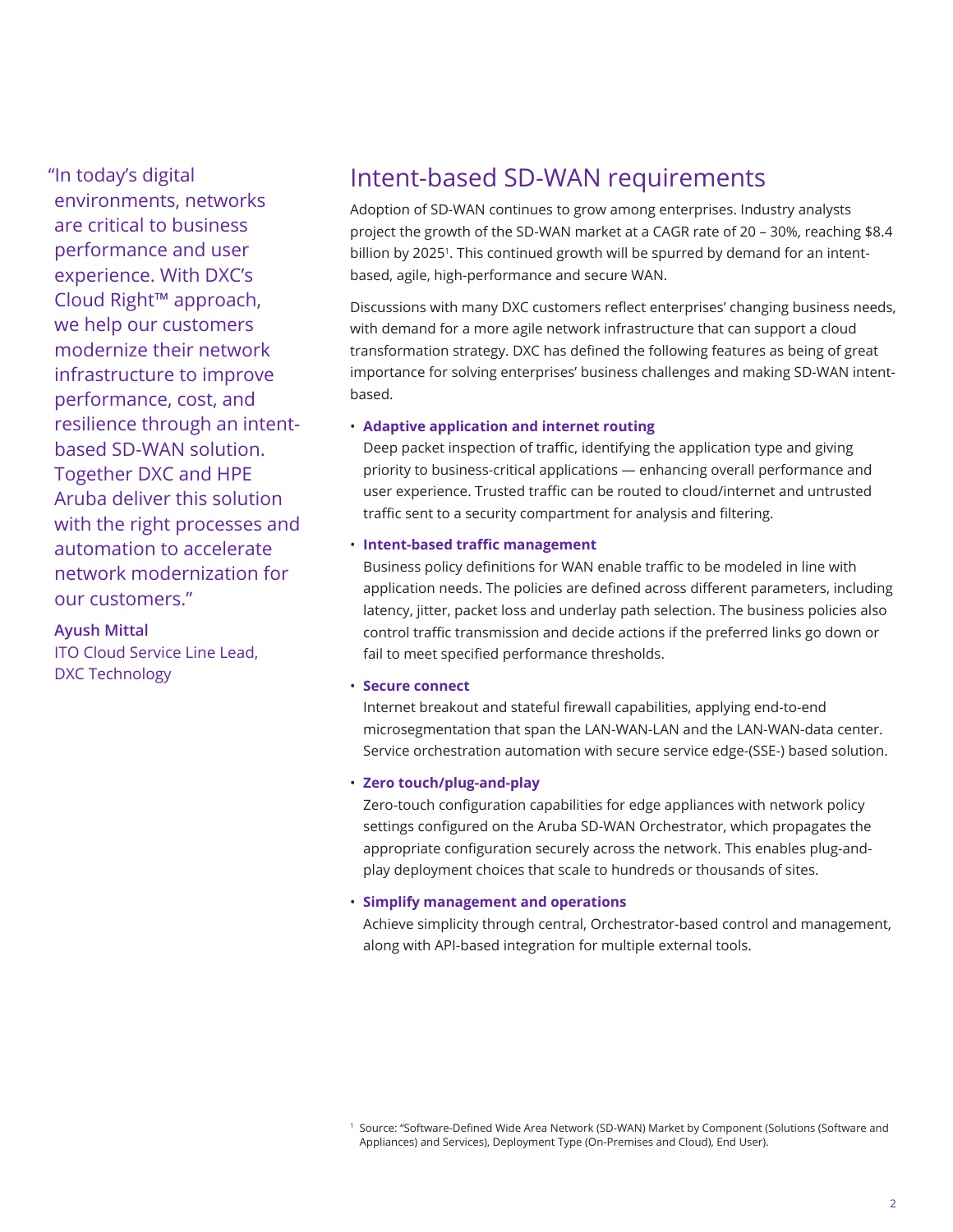"In today's digital environments, networks are critical to business performance and user experience. With DXC's Cloud Right™ approach, we help our customers modernize their network infrastructure to improve performance, cost, and resilience through an intentbased SD-WAN solution. Together DXC and HPE Aruba deliver this solution with the right processes and automation to accelerate network modernization for our customers."

### **Ayush Mittal**

ITO Cloud Service Line Lead, DXC Technology

## Intent-based SD-WAN requirements

Adoption of SD-WAN continues to grow among enterprises. Industry analysts project the growth of the SD-WAN market at a CAGR rate of 20 – 30%, reaching \$8.4 billion by 2025<sup>1</sup>. This continued growth will be spurred by demand for an intentbased, agile, high-performance and secure WAN.

Discussions with many DXC customers reflect enterprises' changing business needs, with demand for a more agile network infrastructure that can support a cloud transformation strategy. DXC has defined the following features as being of great importance for solving enterprises' business challenges and making SD-WAN intentbased.

#### • **Adaptive application and internet routing**

Deep packet inspection of traffic, identifying the application type and giving priority to business-critical applications — enhancing overall performance and user experience. Trusted traffic can be routed to cloud/internet and untrusted traffic sent to a security compartment for analysis and filtering.

#### • **Intent-based traffic management**

Business policy definitions for WAN enable traffic to be modeled in line with application needs. The policies are defined across different parameters, including latency, jitter, packet loss and underlay path selection. The business policies also control traffic transmission and decide actions if the preferred links go down or fail to meet specified performance thresholds.

#### • **Secure connect**

Internet breakout and stateful firewall capabilities, applying end-to-end microsegmentation that span the LAN-WAN-LAN and the LAN-WAN-data center. Service orchestration automation with secure service edge-(SSE-) based solution.

### • **Zero touch/plug-and-play**

Zero-touch configuration capabilities for edge appliances with network policy settings configured on the Aruba SD-WAN Orchestrator, which propagates the appropriate configuration securely across the network. This enables plug-andplay deployment choices that scale to hundreds or thousands of sites.

#### • **Simplify management and operations**

Achieve simplicity through central, Orchestrator-based control and management, along with API-based integration for multiple external tools.

<sup>1</sup> Source: "Software-Defined Wide Area Network (SD-WAN) Market by Component (Solutions (Software and Appliances) and Services), Deployment Type (On-Premises and Cloud), End User).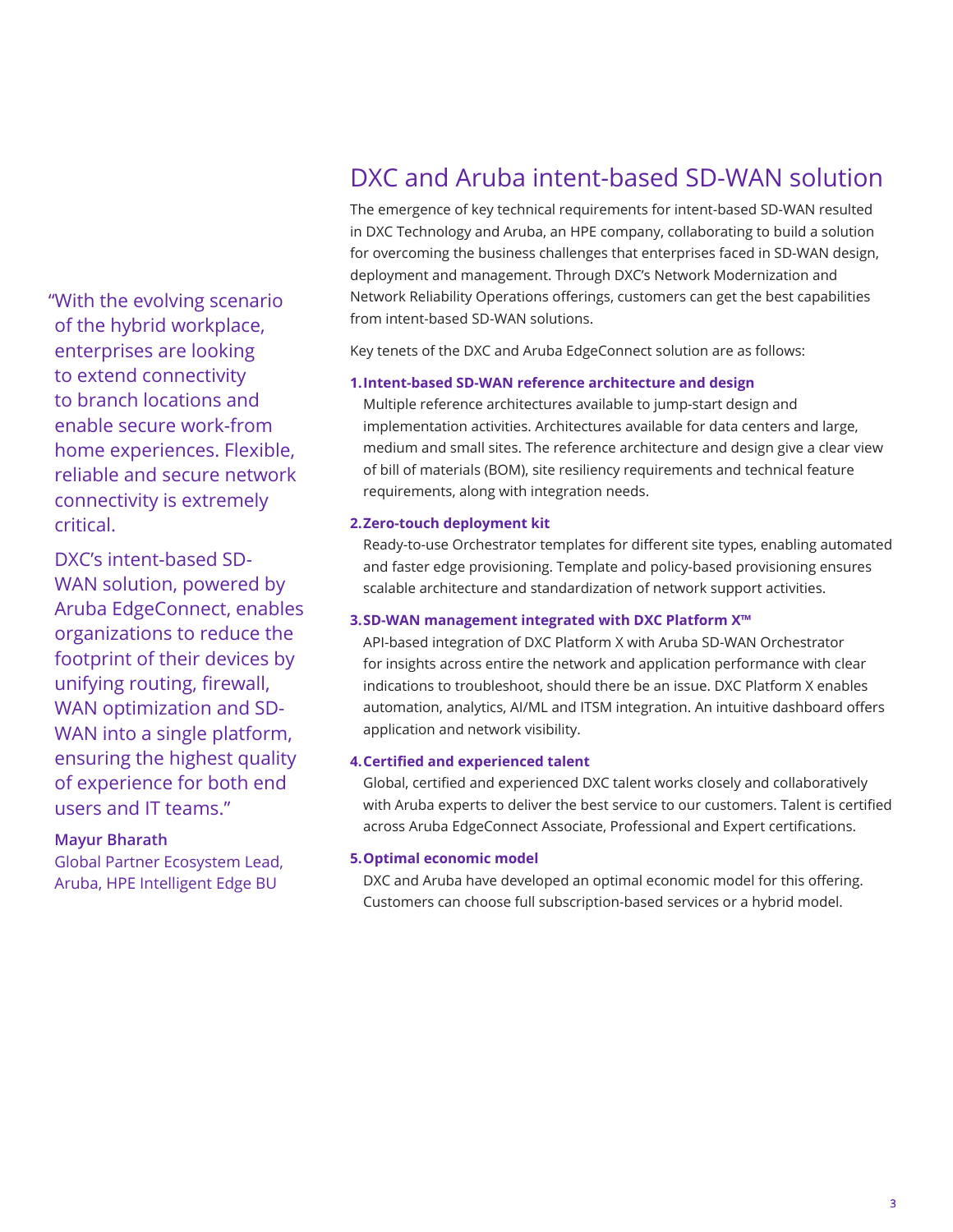"With the evolving scenario of the hybrid workplace, enterprises are looking to extend connectivity to branch locations and enable secure work-from home experiences. Flexible, reliable and secure network connectivity is extremely critical.

DXC's intent-based SD-WAN solution, powered by Aruba EdgeConnect, enables organizations to reduce the footprint of their devices by unifying routing, firewall, WAN optimization and SD-WAN into a single platform, ensuring the highest quality of experience for both end users and IT teams."

## **Mayur Bharath**

Global Partner Ecosystem Lead, Aruba, HPE Intelligent Edge BU

## DXC and Aruba intent-based SD-WAN solution

The emergence of key technical requirements for intent-based SD-WAN resulted in DXC Technology and Aruba, an HPE company, collaborating to build a solution for overcoming the business challenges that enterprises faced in SD-WAN design, deployment and management. Through DXC's Network Modernization and Network Reliability Operations offerings, customers can get the best capabilities from intent-based SD-WAN solutions.

Key tenets of the DXC and Aruba EdgeConnect solution are as follows:

## **1.Intent-based SD-WAN reference architecture and design**

Multiple reference architectures available to jump-start design and implementation activities. Architectures available for data centers and large, medium and small sites. The reference architecture and design give a clear view of bill of materials (BOM), site resiliency requirements and technical feature requirements, along with integration needs.

## **2.Zero-touch deployment kit**

Ready-to-use Orchestrator templates for different site types, enabling automated and faster edge provisioning. Template and policy-based provisioning ensures scalable architecture and standardization of network support activities.

## **3.SD-WAN management integrated with DXC Platform X™**

API-based integration of DXC Platform X with Aruba SD-WAN Orchestrator for insights across entire the network and application performance with clear indications to troubleshoot, should there be an issue. DXC Platform X enables automation, analytics, AI/ML and ITSM integration. An intuitive dashboard offers application and network visibility.

## **4.Certified and experienced talent**

Global, certified and experienced DXC talent works closely and collaboratively with Aruba experts to deliver the best service to our customers. Talent is certified across Aruba EdgeConnect Associate, Professional and Expert certifications.

## **5.Optimal economic model**

DXC and Aruba have developed an optimal economic model for this offering. Customers can choose full subscription-based services or a hybrid model.